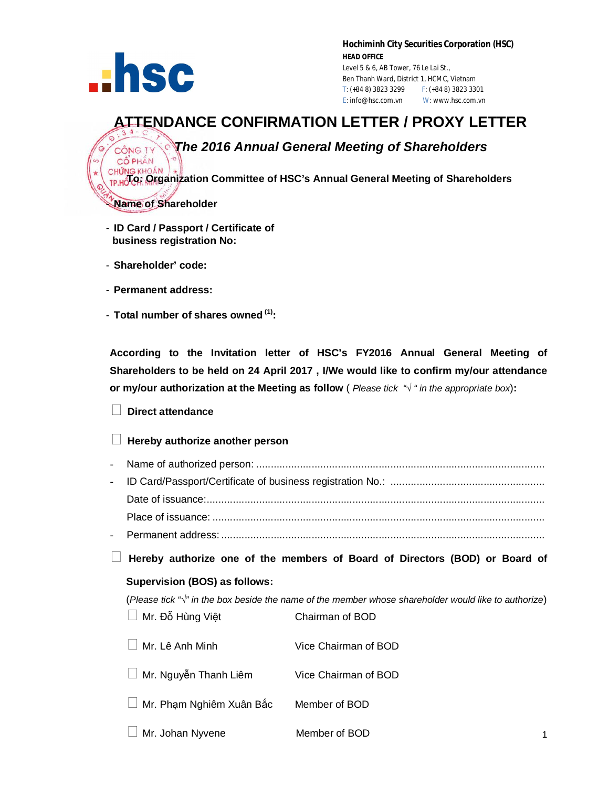

CÔ PHÂN

**Hochiminh City Securities Corporation (HSC) HEAD OFFICE** Level 5 & 6, AB Tower, 76 Le Lai St., Ben Thanh Ward, District 1, HCMC, Vietnam T: (+84 8) 3823 3299 F: (+84 8) 3823 3301 E: info@hsc.com.vn W: www.hsc.com.vn

# **ATTENDANCE CONFIRMATION LETTER / PROXY LETTER**

# *The 2016 Annual General Meeting of Shareholders*

 **To: Organization Committee of HSC's Annual General Meeting of Shareholders**

- **Name of Shareholder**

- **ID Card / Passport / Certificate of business registration No:**
- **Shareholder' code:**
- **Permanent address:**
- **Total number of shares owned (1):**

**According to the Invitation letter of HSC's FY2016 Annual General Meeting of Shareholders to be held on 24 April 2017 , I/We would like to confirm my/our attendance or my/our authorization at the Meeting as follow** ( *Please tick "√ " in the appropriate box*)**:**

# **Direct attendance**

## **Hereby authorize another person**

- Name of authorized person: ................................................................................................... - ID Card/Passport/Certificate of business registration No.: ..................................................... Date of issuance:.................................................................................................................... Place of issuance: .................................................................................................................. - Permanent address: ...............................................................................................................

**Hereby authorize one of the members of Board of Directors (BOD) or Board of** 

### **Supervision (BOS) as follows:**

(*Please tick "√" in the box beside the name of the member whose shareholder would like to authorize*) Mr. Đỗ Hùng Việ<sup>t</sup> Chairman of BOD

| ∣∣ Mr. Lê Anh Minh              | Vice Chairman of BOD |
|---------------------------------|----------------------|
| $\Box$ Mr. Nguyễn Thanh Liêm    | Vice Chairman of BOD |
| $\Box$ Mr. Phạm Nghiêm Xuân Bắc | Member of BOD        |
| $\Box$ Mr. Johan Nyvene         | Member of BOD        |